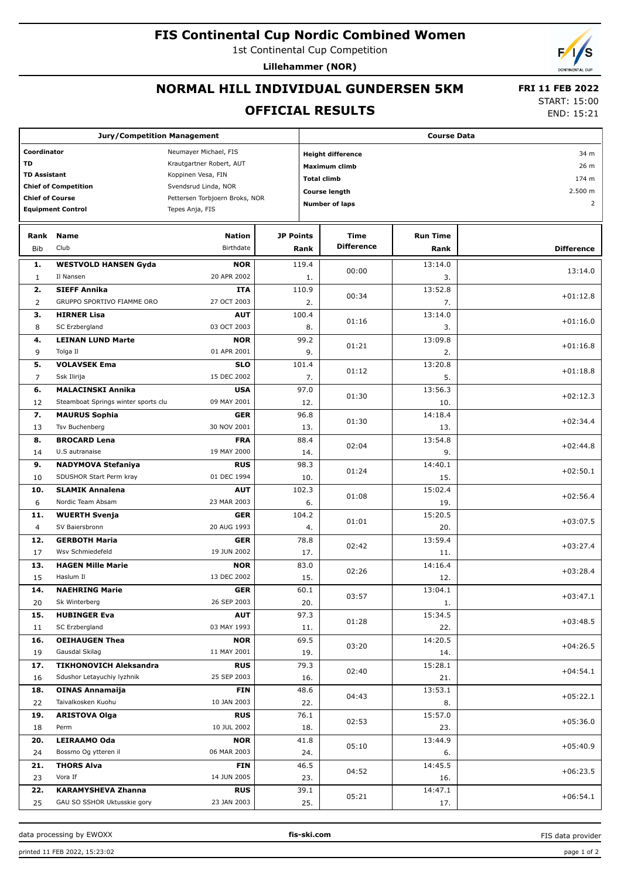### **FIS Continental Cup Nordic Combined Women**

1st Continental Cup Competition

**Lillehammer (NOR)**

# **NORMAL HILL INDIVIDUAL GUNDERSEN 5KM**

### **OFFICIAL RESULTS**

 **FRI 11 FEB 2022** START: 15:00

END: 15:21

| <b>Jury/Competition Management</b>   |                                     |                                |                  |                                  | <b>Course Data</b>    |                                            |                   |  |  |  |
|--------------------------------------|-------------------------------------|--------------------------------|------------------|----------------------------------|-----------------------|--------------------------------------------|-------------------|--|--|--|
| Coordinator<br>Neumayer Michael, FIS |                                     |                                |                  | <b>Height difference</b><br>34 m |                       |                                            |                   |  |  |  |
| TD<br>Krautgartner Robert, AUT       |                                     |                                |                  |                                  | Maximum climb         |                                            | 26 m              |  |  |  |
| <b>TD Assistant</b>                  |                                     | Koppinen Vesa, FIN             |                  |                                  |                       | 174 m                                      |                   |  |  |  |
|                                      | <b>Chief of Competition</b>         | Svendsrud Linda, NOR           |                  |                                  |                       | <b>Total climb</b><br><b>Course length</b> |                   |  |  |  |
| <b>Chief of Course</b>               |                                     | Pettersen Torbjoern Broks, NOR |                  |                                  | <b>Number of laps</b> |                                            | 2.500 m           |  |  |  |
|                                      | <b>Equipment Control</b>            | Tepes Anja, FIS                |                  | $\overline{2}$                   |                       |                                            |                   |  |  |  |
|                                      |                                     |                                |                  |                                  |                       |                                            |                   |  |  |  |
| Rank                                 | <b>Name</b>                         | <b>Nation</b>                  | <b>JP Points</b> |                                  | Time                  | <b>Run Time</b>                            |                   |  |  |  |
| <b>Bib</b>                           | Club                                | Birthdate                      |                  | Rank                             | <b>Difference</b>     | Rank                                       | <b>Difference</b> |  |  |  |
| 1.                                   | <b>WESTVOLD HANSEN Gyda</b>         | <b>NOR</b>                     |                  | 119.4                            |                       | 13:14.0                                    |                   |  |  |  |
| $\mathbf{1}$                         | Il Nansen                           | 20 APR 2002                    |                  |                                  | 00:00                 | 3.                                         | 13:14.0           |  |  |  |
| 2.                                   | <b>SIEFF Annika</b>                 | <b>ITA</b>                     |                  | 1.<br>110.9                      |                       | 13:52.8                                    |                   |  |  |  |
| $\overline{2}$                       | GRUPPO SPORTIVO FIAMME ORO          | 27 OCT 2003                    |                  | 2.                               | 00:34                 | 7.                                         | $+01:12.8$        |  |  |  |
| з.                                   |                                     | <b>AUT</b>                     |                  | 100.4                            |                       | 13:14.0                                    |                   |  |  |  |
|                                      | <b>HIRNER Lisa</b>                  | 03 OCT 2003                    |                  |                                  | 01:16                 |                                            | $+01:16.0$        |  |  |  |
| 8                                    | SC Erzbergland                      |                                |                  | 8.                               |                       | 3.                                         |                   |  |  |  |
| 4.                                   | <b>LEINAN LUND Marte</b>            | <b>NOR</b>                     |                  | 99.2                             | 01:21                 | 13:09.8                                    | $+01:16.8$        |  |  |  |
| 9                                    | Tolga Il                            | 01 APR 2001                    |                  | 9.                               |                       | 2.                                         |                   |  |  |  |
| 5.                                   | <b>VOLAVSEK Ema</b>                 | <b>SLO</b>                     |                  | 101.4                            | 01:12                 | 13:20.8                                    | $+01:18.8$        |  |  |  |
| $\overline{7}$                       | Ssk Ilirija                         | 15 DEC 2002                    |                  | 7.                               |                       | 5.                                         |                   |  |  |  |
| 6.                                   | <b>MALACINSKI Annika</b>            | <b>USA</b>                     |                  | 97.0                             | 01:30                 | 13:56.3                                    | $+02:12.3$        |  |  |  |
| 12                                   | Steamboat Springs winter sports clu | 09 MAY 2001                    |                  | 12.                              |                       | 10.                                        |                   |  |  |  |
| 7.                                   | <b>MAURUS Sophia</b>                | <b>GER</b>                     |                  | 96.8                             | 01:30                 | 14:18.4                                    | $+02:34.4$        |  |  |  |
| 13                                   | Tsv Buchenberg                      | 30 NOV 2001                    |                  | 13.                              |                       | 13.                                        |                   |  |  |  |
| 8.                                   | <b>BROCARD Lena</b>                 | <b>FRA</b>                     |                  | 88.4                             | 02:04                 | 13:54.8                                    | $+02:44.8$        |  |  |  |
| 14                                   | U.S autranaise                      | 19 MAY 2000                    |                  | 14.                              |                       | 9.                                         |                   |  |  |  |
| 9.                                   | <b>NADYMOVA Stefaniya</b>           | <b>RUS</b>                     |                  | 98.3                             | 01:24                 | 14:40.1                                    | $+02:50.1$        |  |  |  |
| 10                                   | SDUSHOR Start Perm kray             | 01 DEC 1994                    |                  | 10.                              |                       | 15.                                        |                   |  |  |  |
| 10.                                  | <b>SLAMIK Annalena</b>              | <b>AUT</b>                     |                  | 102.3                            | 01:08                 | 15:02.4                                    | $+02:56.4$        |  |  |  |
| 6                                    | Nordic Team Absam                   | 23 MAR 2003                    |                  | 6.                               |                       | 19.                                        |                   |  |  |  |
| 11.                                  | <b>WUERTH Svenja</b>                | <b>GER</b>                     |                  | 104.2                            | 01:01                 | 15:20.5                                    | $+03:07.5$        |  |  |  |
| 4                                    | SV Baiersbronn                      | 20 AUG 1993                    |                  | 4.                               |                       | 20.                                        |                   |  |  |  |
| 12.                                  | <b>GERBOTH Maria</b>                | <b>GER</b>                     |                  | 78.8                             | 02:42                 | 13:59.4                                    | $+03:27.4$        |  |  |  |
| 17                                   | Wsv Schmiedefeld                    | 19 JUN 2002                    |                  | 17.                              |                       | 11.                                        |                   |  |  |  |
| 13.                                  | <b>HAGEN Mille Marie</b>            | <b>NOR</b>                     |                  | 83.0                             | 02:26                 | 14:16.4                                    | $+03:28.4$        |  |  |  |
| 15                                   | Haslum II                           | 13 DEC 2002                    |                  | 15.                              |                       | 12.                                        |                   |  |  |  |
| 14.                                  | <b>NAEHRING Marie</b>               | <b>GER</b>                     |                  | 60.1                             | 03:57                 | 13:04.1                                    | $+03:47.1$        |  |  |  |
| 20                                   | Sk Winterberg                       | 26 SEP 2003                    |                  | 20.                              |                       | 1.                                         |                   |  |  |  |
| 15.                                  | <b>HUBINGER Eva</b>                 | <b>AUT</b>                     |                  | 97.3                             | 01:28                 | 15:34.5                                    | $+03:48.5$        |  |  |  |
| 11                                   | SC Erzbergland                      | 03 MAY 1993                    |                  | 11.                              |                       | 22.                                        |                   |  |  |  |
| 16.                                  | <b>OEIHAUGEN Thea</b>               | <b>NOR</b>                     |                  | 69.5                             | 03:20                 | 14:20.5                                    | $+04:26.5$        |  |  |  |
| 19                                   | Gausdal Skilag                      | 11 MAY 2001                    |                  | 19.                              |                       | 14.                                        |                   |  |  |  |
| 17.                                  | <b>TIKHONOVICH Aleksandra</b>       | <b>RUS</b>                     |                  | 79.3                             | 02:40                 | 15:28.1                                    | $+04:54.1$        |  |  |  |
| 16                                   | Sdushor Letayuchiy lyzhnik          | 25 SEP 2003                    |                  | 16.                              |                       | 21.                                        |                   |  |  |  |
| 18.                                  | <b>OINAS Annamaija</b>              | <b>FIN</b>                     |                  | 48.6                             | 04:43                 | 13:53.1                                    | $+05:22.1$        |  |  |  |
| 22                                   | Taivalkosken Kuohu                  | 10 JAN 2003                    |                  | 22.                              |                       | 8.                                         |                   |  |  |  |
| 19.                                  | <b>ARISTOVA Olga</b>                | <b>RUS</b>                     |                  | 76.1                             |                       | 15:57.0                                    |                   |  |  |  |
| 18                                   | Perm                                | 10 JUL 2002                    |                  | 18.                              | 02:53                 | 23.                                        | $+05:36.0$        |  |  |  |
| 20.                                  | LEIRAAMO Oda                        | <b>NOR</b>                     |                  | 41.8                             |                       | 13:44.9                                    |                   |  |  |  |
| 24                                   | Bossmo Og ytteren il                | 06 MAR 2003                    |                  | 24.                              | 05:10                 | 6.                                         | $+05:40.9$        |  |  |  |
| 21.                                  | <b>THORS Alva</b>                   | <b>FIN</b>                     |                  | 46.5                             |                       | 14:45.5                                    |                   |  |  |  |
| 23                                   | Vora If                             | 14 JUN 2005                    |                  | 23.                              | 04:52                 | 16.                                        | $+06:23.5$        |  |  |  |
| 22.                                  | <b>KARAMYSHEVA Zhanna</b>           | <b>RUS</b>                     |                  | 39.1                             |                       | 14:47.1                                    |                   |  |  |  |
| 25                                   | GAU SO SSHOR Uktusskie gory         | 23 JAN 2003                    |                  | 25.                              | 05:21                 | 17.                                        | $+06:54.1$        |  |  |  |

data processing by EWOXX **fis-ski.com**

FIS data provider